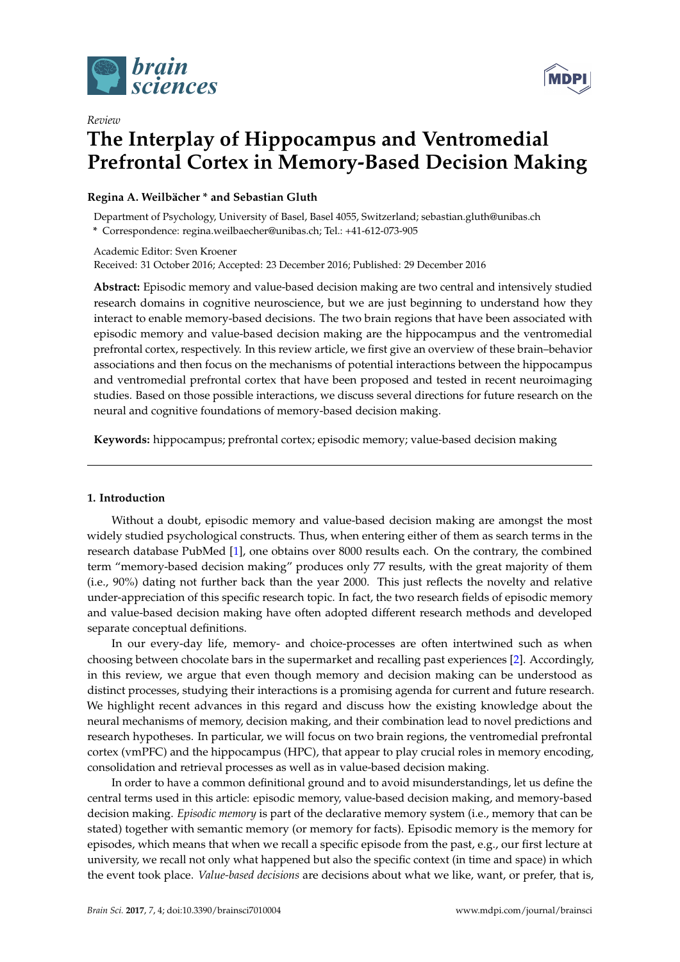

*Review*



# **The Interplay of Hippocampus and Ventromedial Prefrontal Cortex in Memory-Based Decision Making**

## **Regina A. Weilbächer \* and Sebastian Gluth**

Department of Psychology, University of Basel, Basel 4055, Switzerland; sebastian.gluth@unibas.ch **\*** Correspondence: regina.weilbaecher@unibas.ch; Tel.: +41-612-073-905

Academic Editor: Sven Kroener Received: 31 October 2016; Accepted: 23 December 2016; Published: 29 December 2016

**Abstract:** Episodic memory and value-based decision making are two central and intensively studied research domains in cognitive neuroscience, but we are just beginning to understand how they interact to enable memory-based decisions. The two brain regions that have been associated with episodic memory and value-based decision making are the hippocampus and the ventromedial prefrontal cortex, respectively. In this review article, we first give an overview of these brain–behavior associations and then focus on the mechanisms of potential interactions between the hippocampus and ventromedial prefrontal cortex that have been proposed and tested in recent neuroimaging studies. Based on those possible interactions, we discuss several directions for future research on the neural and cognitive foundations of memory-based decision making.

**Keywords:** hippocampus; prefrontal cortex; episodic memory; value-based decision making

# <span id="page-0-0"></span>**1. Introduction**

Without a doubt, episodic memory and value-based decision making are amongst the most widely studied psychological constructs. Thus, when entering either of them as search terms in the research database PubMed [\[1\]](#page-10-0), one obtains over 8000 results each. On the contrary, the combined term "memory-based decision making" produces only 77 results, with the great majority of them (i.e., 90%) dating not further back than the year 2000. This just reflects the novelty and relative under-appreciation of this specific research topic. In fact, the two research fields of episodic memory and value-based decision making have often adopted different research methods and developed separate conceptual definitions.

In our every-day life, memory- and choice-processes are often intertwined such as when choosing between chocolate bars in the supermarket and recalling past experiences [\[2\]](#page-10-1). Accordingly, in this review, we argue that even though memory and decision making can be understood as distinct processes, studying their interactions is a promising agenda for current and future research. We highlight recent advances in this regard and discuss how the existing knowledge about the neural mechanisms of memory, decision making, and their combination lead to novel predictions and research hypotheses. In particular, we will focus on two brain regions, the ventromedial prefrontal cortex (vmPFC) and the hippocampus (HPC), that appear to play crucial roles in memory encoding, consolidation and retrieval processes as well as in value-based decision making.

In order to have a common definitional ground and to avoid misunderstandings, let us define the central terms used in this article: episodic memory, value-based decision making, and memory-based decision making. *Episodic memory* is part of the declarative memory system (i.e., memory that can be stated) together with semantic memory (or memory for facts). Episodic memory is the memory for episodes, which means that when we recall a specific episode from the past, e.g., our first lecture at university, we recall not only what happened but also the specific context (in time and space) in which the event took place. *Value-based decisions* are decisions about what we like, want, or prefer, that is,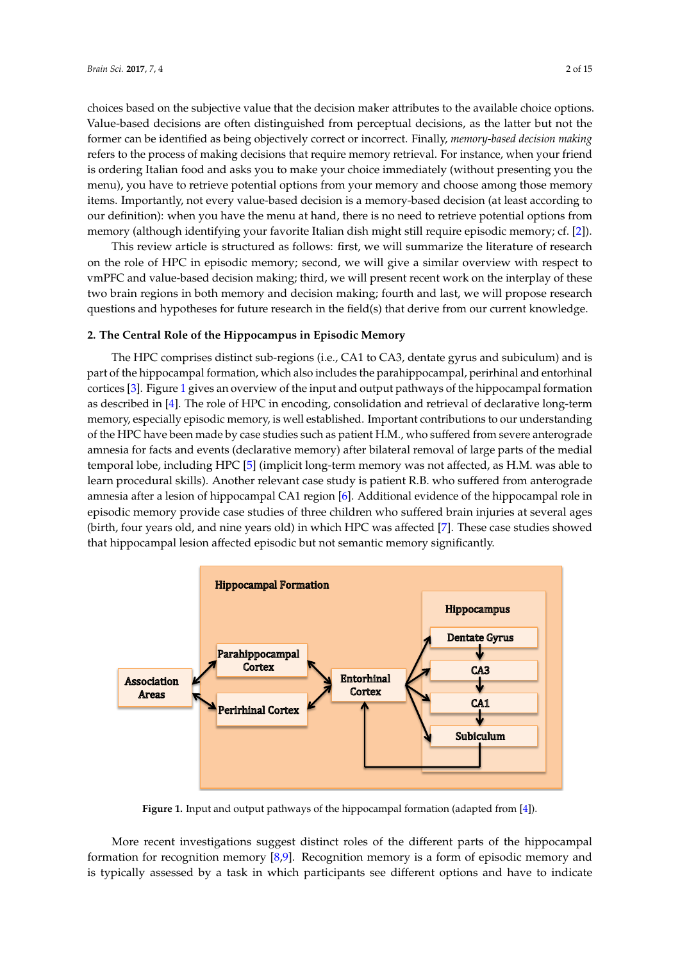choices based on the subjective value that the decision maker attributes to the available choice options. Value-based decisions are often distinguished from perceptual decisions, as the latter but not the former can be identified as being objectively correct or incorrect. Finally, *memory-based decision making* refers to the process of making decisions that require memory retrieval. For instance, when your friend is ordering Italian food and asks you to make your choice immediately (without presenting you the menu), you have to retrieve potential options from your memory and choose among those memory items. Importantly, not every value-based decision is a memory-based decision (at least according to our definition): when you have the menu at hand, there is no need to retrieve potential options from memory (although identifying your favorite Italian dish might still require episodic memory; cf. [\[2\]](#page-10-1)).

This review article is structured as follows: first, we will summarize the literature of research on the role of HPC in episodic memory; second, we will give a similar overview with respect to vmPFC and value-based decision making; third, we will present recent work on the interplay of these two brain regions in both memory and decision making; fourth and last, we will propose research questions and hypotheses for future research in the field(s) that derive from our current knowledge.

#### **2. The Central Role of the Hippocampus in Episodic Memory**

The HPC comprises distinct sub-regions (i.e., CA1 to CA3, dentate gyrus and subiculum) and is part of the hippocampal formation, which also includes the parahippocampal, perirhinal and entorhinal cortices [\[3\]](#page-10-2). Figure [1](#page-1-0) gives an overview of the input and output pathways of the hippocampal formation as described in [\[4\]](#page-10-3). The role of HPC in encoding, consolidation and retrieval of declarative long-term memory, especially episodic memory, is well established. Important contributions to our understanding of the HPC have been made by case studies such as patient H.M., who suffered from severe anterograde amnesia for facts and events (declarative memory) after bilateral removal of large parts of the medial temporal lobe, including HPC [\[5\]](#page-10-4) (implicit long-term memory was not affected, as H.M. was able to learn procedural skills). Another relevant case study is patient R.B. who suffered from anterograde amnesia after a lesion of hippocampal CA1 region [\[6\]](#page-10-5). Additional evidence of the hippocampal role in episodic memory provide case studies of three children who suffered brain injuries at several ages (birth, four years old, and nine years old) in which HPC was affected [\[7\]](#page-10-6). These case studies showed that hippocampal lesion affected episodic but not semantic memory significantly.

<span id="page-1-0"></span>

**Figure 1.** Input and output pathways of the hippocampal formation (adapted from [\[4\]](#page-10-3)).

More recent investigations suggest distinct roles of the different parts of the hippocampal formation for recognition memory  $[8,9]$  $[8,9]$ . Recognition memory is a form of episodic memory and is typically assessed by a task in which participants see different options and have to indicate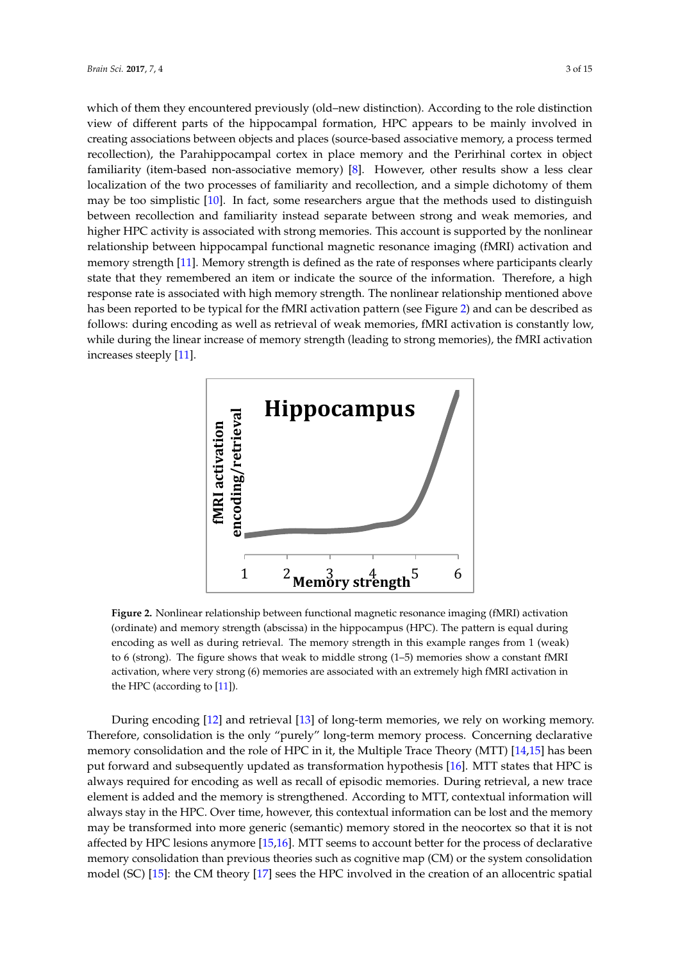which of them they encountered previously (old–new distinction). According to the role distinction view of different parts of the hippocampal formation, HPC appears to be mainly involved in creating associations between objects and places (source-based associative memory, a process termed recollection), the Parahippocampal cortex in place memory and the Perirhinal cortex in object familiarity (item-based non-associative memory) [\[8\]](#page-10-7). However, other results show a less clear localization of the two processes of familiarity and recollection, and a simple dichotomy of them may be too simplistic [\[10\]](#page-10-9). In fact, some researchers argue that the methods used to distinguish between recollection and familiarity instead separate between strong and weak memories, and higher HPC activity is associated with strong memories. This account is supported by the nonlinear relationship between hippocampal functional magnetic resonance imaging (fMRI) activation and memory strength [\[11\]](#page-10-10). Memory strength is defined as the rate of responses where participants clearly state that they remembered an item or indicate the source of the information. Therefore, a high response rate is associated with high memory strength. The nonlinear relationship mentioned above has been reported to be typical for the fMRI activation pattern (see Figure [2\)](#page-2-0) and can be described as follows: during encoding as well as retrieval of weak memories, fMRI activation is constantly low, while during the linear increase of memory strength (leading to strong memories), the fMRI activation increases steeply [\[11\]](#page-10-10).

<span id="page-2-0"></span>

**Figure 2.** Nonlinear relationship between functional magnetic resonance imaging (fMRI) activation (ordinate) and memory strength (abscissa) in the hippocampus (HPC). The pattern is equal during encoding as well as during retrieval. The memory strength in this example ranges from 1 (weak) to 6 (strong). The figure shows that weak to middle strong (1–5) memories show a constant fMRI activation, where very strong (6) memories are associated with an extremely high fMRI activation in the HPC (according to [\[11\]](#page-10-10)).

During encoding [\[12\]](#page-10-11) and retrieval [\[13\]](#page-10-12) of long-term memories, we rely on working memory. Therefore, consolidation is the only "purely" long-term memory process. Concerning declarative memory consolidation and the role of HPC in it, the Multiple Trace Theory (MTT) [\[14](#page-10-13)[,15\]](#page-10-14) has been put forward and subsequently updated as transformation hypothesis [\[16\]](#page-10-15). MTT states that HPC is always required for encoding as well as recall of episodic memories. During retrieval, a new trace element is added and the memory is strengthened. According to MTT, contextual information will always stay in the HPC. Over time, however, this contextual information can be lost and the memory may be transformed into more generic (semantic) memory stored in the neocortex so that it is not affected by HPC lesions anymore [\[15,](#page-10-14)[16\]](#page-10-15). MTT seems to account better for the process of declarative memory consolidation than previous theories such as cognitive map (CM) or the system consolidation model (SC) [\[15\]](#page-10-14): the CM theory [\[17\]](#page-10-16) sees the HPC involved in the creation of an allocentric spatial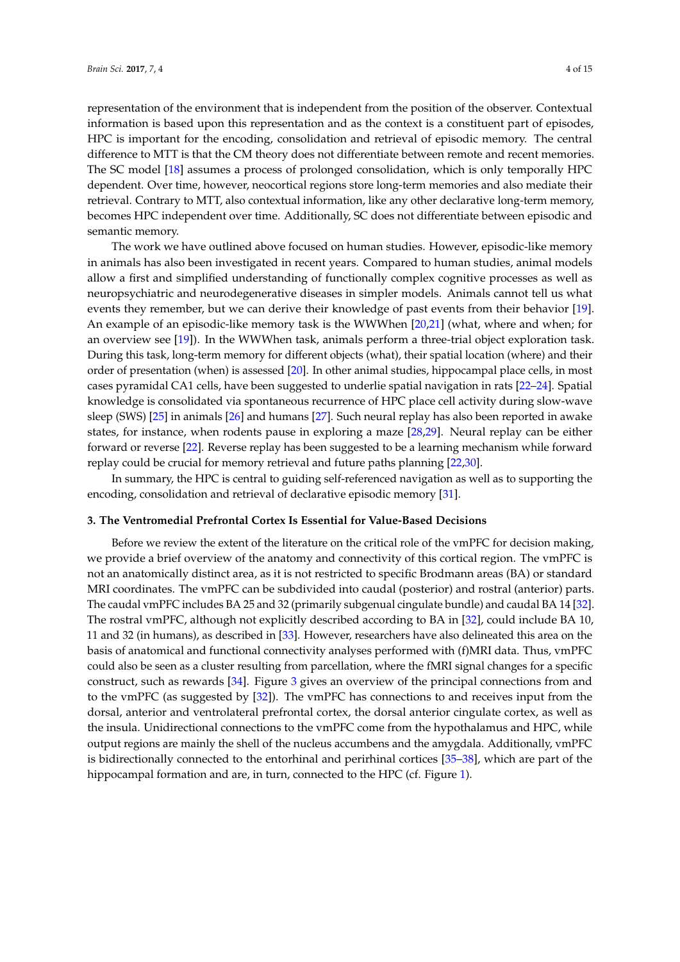representation of the environment that is independent from the position of the observer. Contextual information is based upon this representation and as the context is a constituent part of episodes, HPC is important for the encoding, consolidation and retrieval of episodic memory. The central difference to MTT is that the CM theory does not differentiate between remote and recent memories. The SC model [\[18\]](#page-10-17) assumes a process of prolonged consolidation, which is only temporally HPC dependent. Over time, however, neocortical regions store long-term memories and also mediate their retrieval. Contrary to MTT, also contextual information, like any other declarative long-term memory, becomes HPC independent over time. Additionally, SC does not differentiate between episodic and semantic memory.

The work we have outlined above focused on human studies. However, episodic-like memory in animals has also been investigated in recent years. Compared to human studies, animal models allow a first and simplified understanding of functionally complex cognitive processes as well as neuropsychiatric and neurodegenerative diseases in simpler models. Animals cannot tell us what events they remember, but we can derive their knowledge of past events from their behavior [\[19\]](#page-10-18). An example of an episodic-like memory task is the WWWhen [\[20](#page-10-19)[,21\]](#page-10-20) (what, where and when; for an overview see [\[19\]](#page-10-18)). In the WWWhen task, animals perform a three-trial object exploration task. During this task, long-term memory for different objects (what), their spatial location (where) and their order of presentation (when) is assessed [\[20\]](#page-10-19). In other animal studies, hippocampal place cells, in most cases pyramidal CA1 cells, have been suggested to underlie spatial navigation in rats [\[22–](#page-10-21)[24\]](#page-11-0). Spatial knowledge is consolidated via spontaneous recurrence of HPC place cell activity during slow-wave sleep (SWS) [\[25\]](#page-11-1) in animals [\[26\]](#page-11-2) and humans [\[27\]](#page-11-3). Such neural replay has also been reported in awake states, for instance, when rodents pause in exploring a maze [\[28,](#page-11-4)[29\]](#page-11-5). Neural replay can be either forward or reverse [\[22\]](#page-10-21). Reverse replay has been suggested to be a learning mechanism while forward replay could be crucial for memory retrieval and future paths planning [\[22,](#page-10-21)[30\]](#page-11-6).

In summary, the HPC is central to guiding self-referenced navigation as well as to supporting the encoding, consolidation and retrieval of declarative episodic memory [\[31\]](#page-11-7).

#### **3. The Ventromedial Prefrontal Cortex Is Essential for Value-Based Decisions**

Before we review the extent of the literature on the critical role of the vmPFC for decision making, we provide a brief overview of the anatomy and connectivity of this cortical region. The vmPFC is not an anatomically distinct area, as it is not restricted to specific Brodmann areas (BA) or standard MRI coordinates. The vmPFC can be subdivided into caudal (posterior) and rostral (anterior) parts. The caudal vmPFC includes BA 25 and 32 (primarily subgenual cingulate bundle) and caudal BA 14 [\[32\]](#page-11-8). The rostral vmPFC, although not explicitly described according to BA in [\[32\]](#page-11-8), could include BA 10, 11 and 32 (in humans), as described in [\[33\]](#page-11-9). However, researchers have also delineated this area on the basis of anatomical and functional connectivity analyses performed with (f)MRI data. Thus, vmPFC could also be seen as a cluster resulting from parcellation, where the fMRI signal changes for a specific construct, such as rewards [\[34\]](#page-11-10). Figure [3](#page-4-0) gives an overview of the principal connections from and to the vmPFC (as suggested by [\[32\]](#page-11-8)). The vmPFC has connections to and receives input from the dorsal, anterior and ventrolateral prefrontal cortex, the dorsal anterior cingulate cortex, as well as the insula. Unidirectional connections to the vmPFC come from the hypothalamus and HPC, while output regions are mainly the shell of the nucleus accumbens and the amygdala. Additionally, vmPFC is bidirectionally connected to the entorhinal and perirhinal cortices [\[35–](#page-11-11)[38\]](#page-11-12), which are part of the hippocampal formation and are, in turn, connected to the HPC (cf. Figure [1\)](#page-1-0).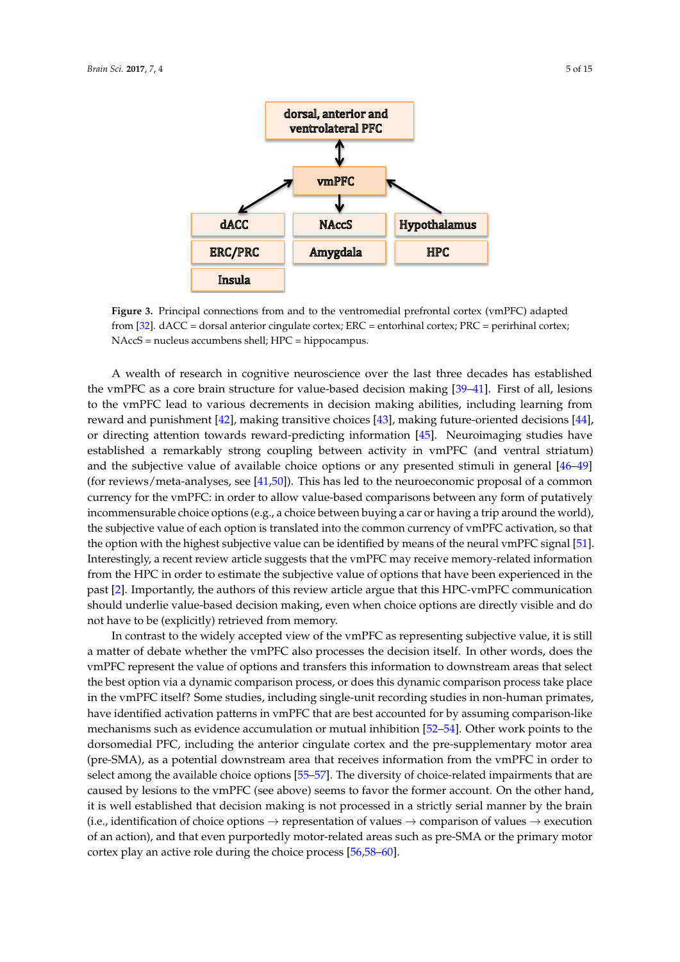<span id="page-4-0"></span>

**Figure 3.** Principal connections from and to the ventromedial prefrontal cortex (vmPFC) adapted from [\[32\]](#page-11-8). dACC = dorsal anterior cingulate cortex; ERC = entorhinal cortex; PRC = perirhinal cortex; NAccS = nucleus accumbens shell; HPC = hippocampus.

A wealth of research in cognitive neuroscience over the last three decades has established the vmPFC as a core brain structure for value-based decision making [\[39](#page-11-13)[–41\]](#page-11-14). First of all, lesions to the vmPFC lead to various decrements in decision making abilities, including learning from reward and punishment [\[42\]](#page-11-15), making transitive choices [\[43\]](#page-11-16), making future-oriented decisions [\[44\]](#page-11-17), or directing attention towards reward-predicting information [\[45\]](#page-11-18). Neuroimaging studies have established a remarkably strong coupling between activity in vmPFC (and ventral striatum) and the subjective value of available choice options or any presented stimuli in general [\[46](#page-11-19)[–49\]](#page-12-0) (for reviews/meta-analyses, see [\[41,](#page-11-14)[50\]](#page-12-1)). This has led to the neuroeconomic proposal of a common currency for the vmPFC: in order to allow value-based comparisons between any form of putatively incommensurable choice options (e.g., a choice between buying a car or having a trip around the world), the subjective value of each option is translated into the common currency of vmPFC activation, so that the option with the highest subjective value can be identified by means of the neural vmPFC signal [\[51\]](#page-12-2). Interestingly, a recent review article suggests that the vmPFC may receive memory-related information from the HPC in order to estimate the subjective value of options that have been experienced in the past [\[2\]](#page-10-1). Importantly, the authors of this review article argue that this HPC-vmPFC communication should underlie value-based decision making, even when choice options are directly visible and do not have to be (explicitly) retrieved from memory.

In contrast to the widely accepted view of the vmPFC as representing subjective value, it is still a matter of debate whether the vmPFC also processes the decision itself. In other words, does the vmPFC represent the value of options and transfers this information to downstream areas that select the best option via a dynamic comparison process, or does this dynamic comparison process take place in the vmPFC itself? Some studies, including single-unit recording studies in non-human primates, have identified activation patterns in vmPFC that are best accounted for by assuming comparison-like mechanisms such as evidence accumulation or mutual inhibition [\[52](#page-12-3)[–54\]](#page-12-4). Other work points to the dorsomedial PFC, including the anterior cingulate cortex and the pre-supplementary motor area (pre-SMA), as a potential downstream area that receives information from the vmPFC in order to select among the available choice options [\[55–](#page-12-5)[57\]](#page-12-6). The diversity of choice-related impairments that are caused by lesions to the vmPFC (see above) seems to favor the former account. On the other hand, it is well established that decision making is not processed in a strictly serial manner by the brain (i.e., identification of choice options  $\rightarrow$  representation of values  $\rightarrow$  comparison of values  $\rightarrow$  execution of an action), and that even purportedly motor-related areas such as pre-SMA or the primary motor cortex play an active role during the choice process [\[56](#page-12-7)[,58](#page-12-8)[–60\]](#page-12-9).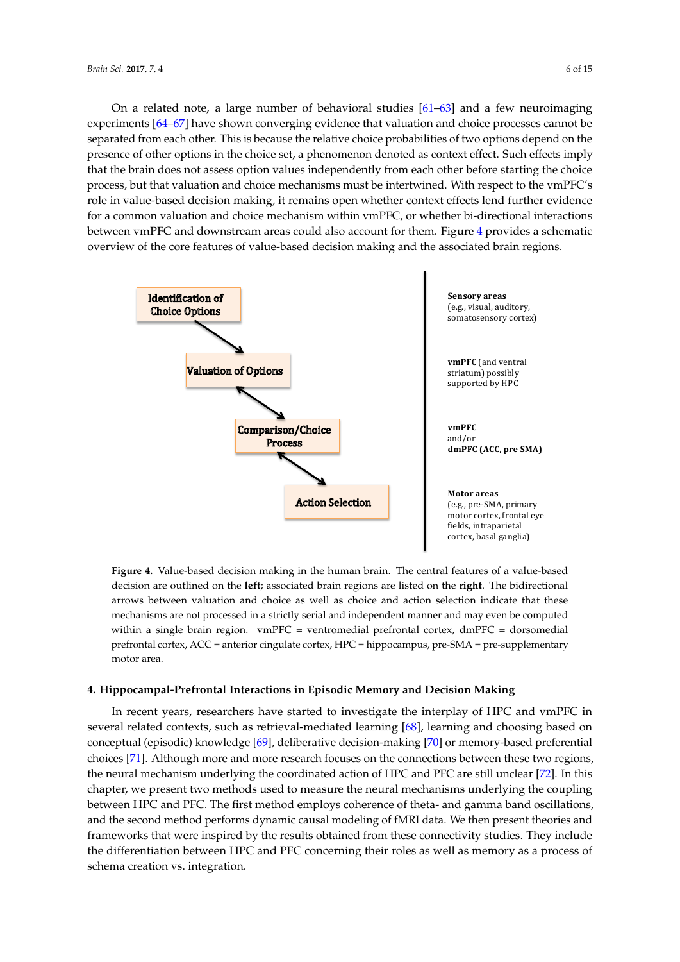On a related note, a large number of behavioral studies  $[61–63]$  $[61–63]$  and a few neuroimaging experiments [\[64–](#page-12-12)[67\]](#page-12-13) have shown converging evidence that valuation and choice processes cannot be separated from each other. This is because the relative choice probabilities of two options depend on the presence of other options in the choice set, a phenomenon denoted as context effect. Such effects imply that the brain does not assess option values independently from each other before starting the choice process, but that valuation and choice mechanisms must be intertwined. With respect to the vmPFC's role in value-based decision making, it remains open whether context effects lend further evidence for a common valuation and choice mechanism within vmPFC, or whether bi-directional interactions between vmPFC and downstream areas could also account for them. Figure [4](#page-5-0) provides a schematic overview of the core features of value-based decision making and the associated brain regions.

<span id="page-5-0"></span>

**Figure 4.** Value-based decision making in the human brain. The central features of a value-based decision are outlined on the **left**; associated brain regions are listed on the **right**. The bidirectional arrows between valuation and choice as well as choice and action selection indicate that these mechanisms are not processed in a strictly serial and independent manner and may even be computed within a single brain region. vmPFC = ventromedial prefrontal cortex, dmPFC = dorsomedial prefrontal cortex, ACC = anterior cingulate cortex, HPC = hippocampus, pre-SMA = pre-supplementary motor area.

#### **4. Hippocampal-Prefrontal Interactions in Episodic Memory and Decision Making**

In recent years, researchers have started to investigate the interplay of HPC and vmPFC in several related contexts, such as retrieval-mediated learning [\[68\]](#page-12-14), learning and choosing based on conceptual (episodic) knowledge [\[69\]](#page-12-15), deliberative decision-making [\[70\]](#page-12-16) or memory-based preferential choices [\[71\]](#page-13-0). Although more and more research focuses on the connections between these two regions, the neural mechanism underlying the coordinated action of HPC and PFC are still unclear [\[72\]](#page-13-1). In this chapter, we present two methods used to measure the neural mechanisms underlying the coupling between HPC and PFC. The first method employs coherence of theta- and gamma band oscillations, and the second method performs dynamic causal modeling of fMRI data. We then present theories and frameworks that were inspired by the results obtained from these connectivity studies. They include the differentiation between HPC and PFC concerning their roles as well as memory as a process of schema creation vs. integration.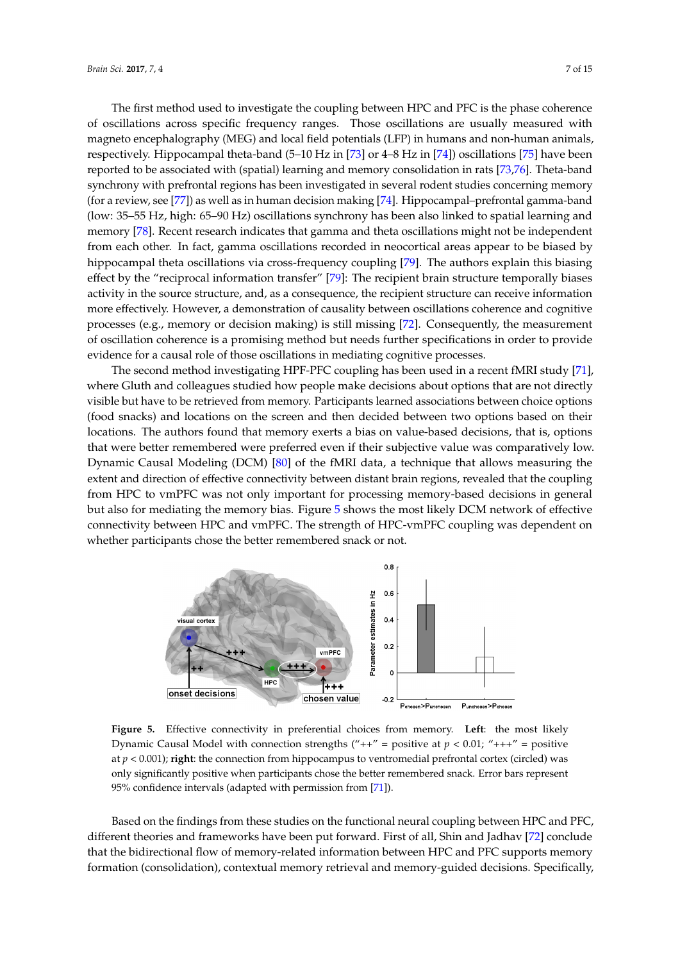The first method used to investigate the coupling between HPC and PFC is the phase coherence of oscillations across specific frequency ranges. Those oscillations are usually measured with magneto encephalography (MEG) and local field potentials (LFP) in humans and non-human animals, respectively. Hippocampal theta-band (5–10 Hz in [\[73\]](#page-13-2) or 4–8 Hz in [\[74\]](#page-13-3)) oscillations [\[75\]](#page-13-4) have been reported to be associated with (spatial) learning and memory consolidation in rats [\[73](#page-13-2)[,76\]](#page-13-5). Theta-band synchrony with prefrontal regions has been investigated in several rodent studies concerning memory (for a review, see [\[77\]](#page-13-6)) as well as in human decision making [\[74\]](#page-13-3). Hippocampal–prefrontal gamma-band (low: 35–55 Hz, high: 65–90 Hz) oscillations synchrony has been also linked to spatial learning and memory [\[78\]](#page-13-7). Recent research indicates that gamma and theta oscillations might not be independent from each other. In fact, gamma oscillations recorded in neocortical areas appear to be biased by hippocampal theta oscillations via cross-frequency coupling [\[79\]](#page-13-8). The authors explain this biasing effect by the "reciprocal information transfer" [\[79\]](#page-13-8): The recipient brain structure temporally biases activity in the source structure, and, as a consequence, the recipient structure can receive information more effectively. However, a demonstration of causality between oscillations coherence and cognitive processes (e.g., memory or decision making) is still missing [\[72\]](#page-13-1). Consequently, the measurement of oscillation coherence is a promising method but needs further specifications in order to provide evidence for a causal role of those oscillations in mediating cognitive processes.

The second method investigating HPF-PFC coupling has been used in a recent fMRI study [\[71\]](#page-13-0), where Gluth and colleagues studied how people make decisions about options that are not directly visible but have to be retrieved from memory. Participants learned associations between choice options (food snacks) and locations on the screen and then decided between two options based on their locations. The authors found that memory exerts a bias on value-based decisions, that is, options that were better remembered were preferred even if their subjective value was comparatively low. Dynamic Causal Modeling (DCM) [\[80\]](#page-13-9) of the fMRI data, a technique that allows measuring the extent and direction of effective connectivity between distant brain regions, revealed that the coupling from HPC to vmPFC was not only important for processing memory-based decisions in general but also for mediating the memory bias. Figure [5](#page-6-0) shows the most likely DCM network of effective connectivity between HPC and vmPFC. The strength of HPC-vmPFC coupling was dependent on whether participants chose the better remembered snack or not.

<span id="page-6-0"></span>

**Figure 5.** Effective connectivity in preferential choices from memory. **Left**: the most likely Dynamic Causal Model with connection strengths  $("++" =$  positive at  $p < 0.01$ ; " $++" =$  positive at *p* < 0.001); **right**: the connection from hippocampus to ventromedial prefrontal cortex (circled) was only significantly positive when participants chose the better remembered snack. Error bars represent 95% confidence intervals (adapted with permission from [\[71\]](#page-13-0)).

Based on the findings from these studies on the functional neural coupling between HPC and PFC, different theories and frameworks have been put forward. First of all, Shin and Jadhav [\[72\]](#page-13-1) conclude that the bidirectional flow of memory-related information between HPC and PFC supports memory formation (consolidation), contextual memory retrieval and memory-guided decisions. Specifically,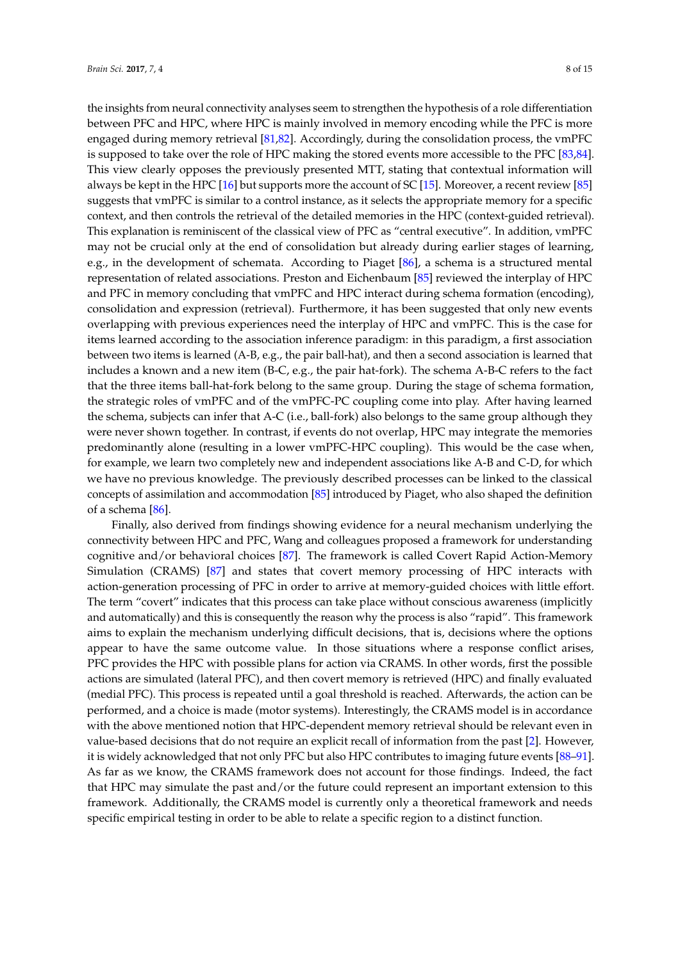the insights from neural connectivity analyses seem to strengthen the hypothesis of a role differentiation between PFC and HPC, where HPC is mainly involved in memory encoding while the PFC is more engaged during memory retrieval [\[81](#page-13-10)[,82\]](#page-13-11). Accordingly, during the consolidation process, the vmPFC is supposed to take over the role of HPC making the stored events more accessible to the PFC [\[83,](#page-13-12)[84\]](#page-13-13). This view clearly opposes the previously presented MTT, stating that contextual information will always be kept in the HPC [\[16\]](#page-10-15) but supports more the account of SC [\[15\]](#page-10-14). Moreover, a recent review [\[85\]](#page-13-14) suggests that vmPFC is similar to a control instance, as it selects the appropriate memory for a specific context, and then controls the retrieval of the detailed memories in the HPC (context-guided retrieval). This explanation is reminiscent of the classical view of PFC as "central executive". In addition, vmPFC may not be crucial only at the end of consolidation but already during earlier stages of learning, e.g., in the development of schemata. According to Piaget [\[86\]](#page-13-15), a schema is a structured mental representation of related associations. Preston and Eichenbaum [\[85\]](#page-13-14) reviewed the interplay of HPC and PFC in memory concluding that vmPFC and HPC interact during schema formation (encoding), consolidation and expression (retrieval). Furthermore, it has been suggested that only new events overlapping with previous experiences need the interplay of HPC and vmPFC. This is the case for items learned according to the association inference paradigm: in this paradigm, a first association between two items is learned (A-B, e.g., the pair ball-hat), and then a second association is learned that includes a known and a new item (B-C, e.g., the pair hat-fork). The schema A-B-C refers to the fact that the three items ball-hat-fork belong to the same group. During the stage of schema formation, the strategic roles of vmPFC and of the vmPFC-PC coupling come into play. After having learned the schema, subjects can infer that A-C (i.e., ball-fork) also belongs to the same group although they were never shown together. In contrast, if events do not overlap, HPC may integrate the memories predominantly alone (resulting in a lower vmPFC-HPC coupling). This would be the case when, for example, we learn two completely new and independent associations like A-B and C-D, for which we have no previous knowledge. The previously described processes can be linked to the classical concepts of assimilation and accommodation [\[85\]](#page-13-14) introduced by Piaget, who also shaped the definition of a schema [\[86\]](#page-13-15).

Finally, also derived from findings showing evidence for a neural mechanism underlying the connectivity between HPC and PFC, Wang and colleagues proposed a framework for understanding cognitive and/or behavioral choices [\[87\]](#page-13-16). The framework is called Covert Rapid Action-Memory Simulation (CRAMS) [\[87\]](#page-13-16) and states that covert memory processing of HPC interacts with action-generation processing of PFC in order to arrive at memory-guided choices with little effort. The term "covert" indicates that this process can take place without conscious awareness (implicitly and automatically) and this is consequently the reason why the process is also "rapid". This framework aims to explain the mechanism underlying difficult decisions, that is, decisions where the options appear to have the same outcome value. In those situations where a response conflict arises, PFC provides the HPC with possible plans for action via CRAMS. In other words, first the possible actions are simulated (lateral PFC), and then covert memory is retrieved (HPC) and finally evaluated (medial PFC). This process is repeated until a goal threshold is reached. Afterwards, the action can be performed, and a choice is made (motor systems). Interestingly, the CRAMS model is in accordance with the above mentioned notion that HPC-dependent memory retrieval should be relevant even in value-based decisions that do not require an explicit recall of information from the past [\[2\]](#page-10-1). However, it is widely acknowledged that not only PFC but also HPC contributes to imaging future events [\[88–](#page-13-17)[91\]](#page-13-18). As far as we know, the CRAMS framework does not account for those findings. Indeed, the fact that HPC may simulate the past and/or the future could represent an important extension to this framework. Additionally, the CRAMS model is currently only a theoretical framework and needs specific empirical testing in order to be able to relate a specific region to a distinct function.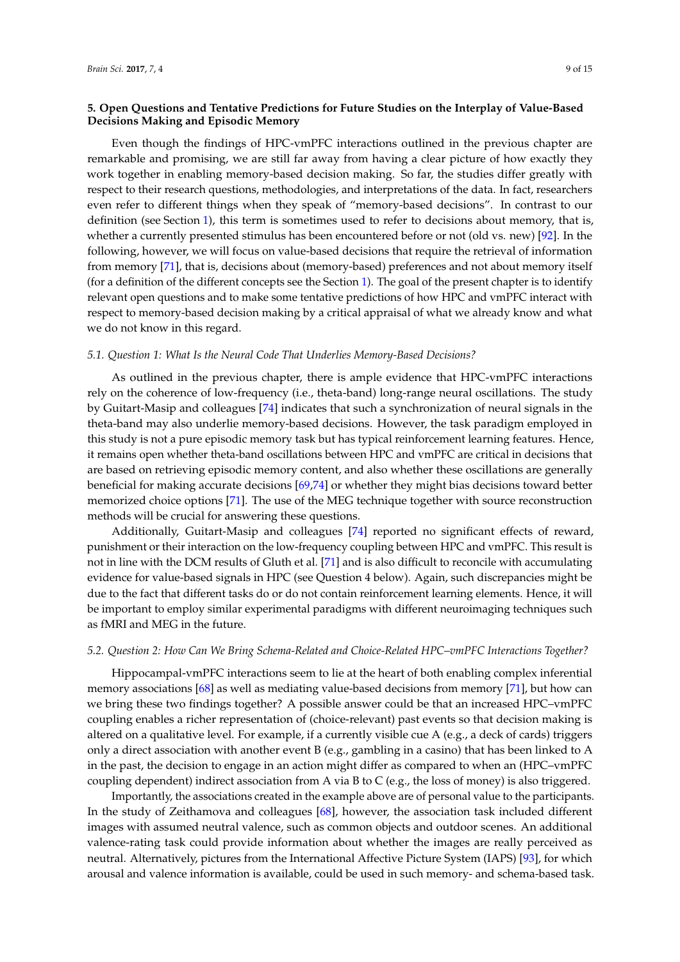## **5. Open Questions and Tentative Predictions for Future Studies on the Interplay of Value-Based Decisions Making and Episodic Memory**

Even though the findings of HPC-vmPFC interactions outlined in the previous chapter are remarkable and promising, we are still far away from having a clear picture of how exactly they work together in enabling memory-based decision making. So far, the studies differ greatly with respect to their research questions, methodologies, and interpretations of the data. In fact, researchers even refer to different things when they speak of "memory-based decisions". In contrast to our definition (see Section [1\)](#page-0-0), this term is sometimes used to refer to decisions about memory, that is, whether a currently presented stimulus has been encountered before or not (old vs. new) [\[92\]](#page-13-19). In the following, however, we will focus on value-based decisions that require the retrieval of information from memory [\[71\]](#page-13-0), that is, decisions about (memory-based) preferences and not about memory itself (for a definition of the different concepts see the Section [1\)](#page-0-0). The goal of the present chapter is to identify relevant open questions and to make some tentative predictions of how HPC and vmPFC interact with respect to memory-based decision making by a critical appraisal of what we already know and what we do not know in this regard.

#### *5.1. Question 1: What Is the Neural Code That Underlies Memory-Based Decisions?*

As outlined in the previous chapter, there is ample evidence that HPC-vmPFC interactions rely on the coherence of low-frequency (i.e., theta-band) long-range neural oscillations. The study by Guitart-Masip and colleagues [\[74\]](#page-13-3) indicates that such a synchronization of neural signals in the theta-band may also underlie memory-based decisions. However, the task paradigm employed in this study is not a pure episodic memory task but has typical reinforcement learning features. Hence, it remains open whether theta-band oscillations between HPC and vmPFC are critical in decisions that are based on retrieving episodic memory content, and also whether these oscillations are generally beneficial for making accurate decisions [\[69,](#page-12-15)[74\]](#page-13-3) or whether they might bias decisions toward better memorized choice options [\[71\]](#page-13-0). The use of the MEG technique together with source reconstruction methods will be crucial for answering these questions.

Additionally, Guitart-Masip and colleagues [\[74\]](#page-13-3) reported no significant effects of reward, punishment or their interaction on the low-frequency coupling between HPC and vmPFC. This result is not in line with the DCM results of Gluth et al. [\[71\]](#page-13-0) and is also difficult to reconcile with accumulating evidence for value-based signals in HPC (see Question 4 below). Again, such discrepancies might be due to the fact that different tasks do or do not contain reinforcement learning elements. Hence, it will be important to employ similar experimental paradigms with different neuroimaging techniques such as fMRI and MEG in the future.

#### *5.2. Question 2: How Can We Bring Schema-Related and Choice-Related HPC–vmPFC Interactions Together?*

Hippocampal-vmPFC interactions seem to lie at the heart of both enabling complex inferential memory associations [\[68\]](#page-12-14) as well as mediating value-based decisions from memory [\[71\]](#page-13-0), but how can we bring these two findings together? A possible answer could be that an increased HPC–vmPFC coupling enables a richer representation of (choice-relevant) past events so that decision making is altered on a qualitative level. For example, if a currently visible cue A (e.g., a deck of cards) triggers only a direct association with another event B (e.g., gambling in a casino) that has been linked to A in the past, the decision to engage in an action might differ as compared to when an (HPC–vmPFC coupling dependent) indirect association from A via B to C (e.g., the loss of money) is also triggered.

Importantly, the associations created in the example above are of personal value to the participants. In the study of Zeithamova and colleagues [\[68\]](#page-12-14), however, the association task included different images with assumed neutral valence, such as common objects and outdoor scenes. An additional valence-rating task could provide information about whether the images are really perceived as neutral. Alternatively, pictures from the International Affective Picture System (IAPS) [\[93\]](#page-13-20), for which arousal and valence information is available, could be used in such memory- and schema-based task.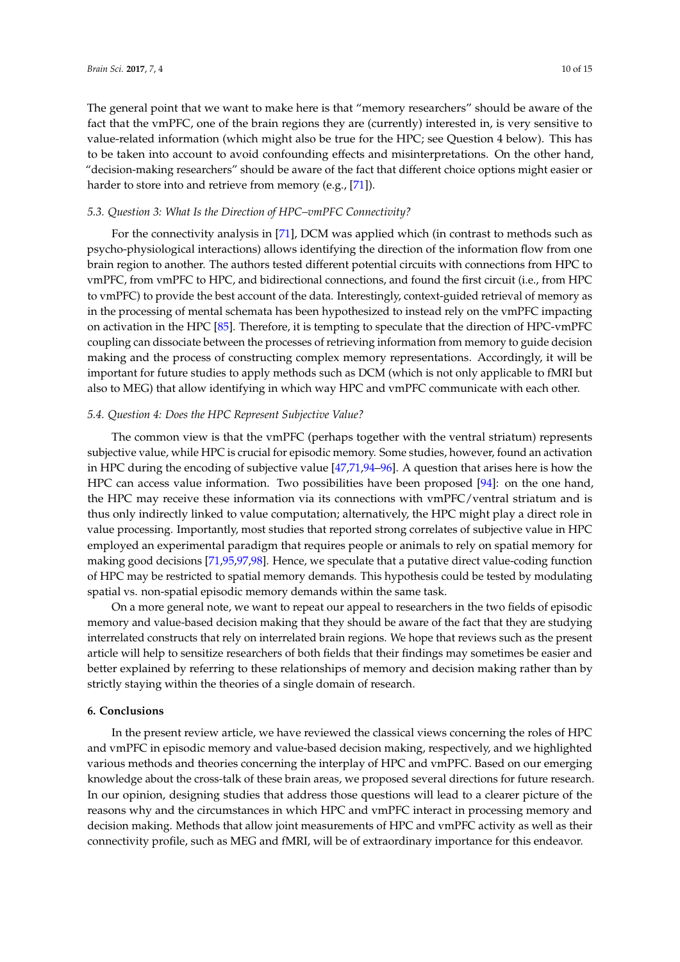The general point that we want to make here is that "memory researchers" should be aware of the fact that the vmPFC, one of the brain regions they are (currently) interested in, is very sensitive to value-related information (which might also be true for the HPC; see Question 4 below). This has to be taken into account to avoid confounding effects and misinterpretations. On the other hand, "decision-making researchers" should be aware of the fact that different choice options might easier or harder to store into and retrieve from memory (e.g., [\[71\]](#page-13-0)).

#### *5.3. Question 3: What Is the Direction of HPC–vmPFC Connectivity?*

For the connectivity analysis in [\[71\]](#page-13-0), DCM was applied which (in contrast to methods such as psycho-physiological interactions) allows identifying the direction of the information flow from one brain region to another. The authors tested different potential circuits with connections from HPC to vmPFC, from vmPFC to HPC, and bidirectional connections, and found the first circuit (i.e., from HPC to vmPFC) to provide the best account of the data. Interestingly, context-guided retrieval of memory as in the processing of mental schemata has been hypothesized to instead rely on the vmPFC impacting on activation in the HPC [\[85\]](#page-13-14). Therefore, it is tempting to speculate that the direction of HPC-vmPFC coupling can dissociate between the processes of retrieving information from memory to guide decision making and the process of constructing complex memory representations. Accordingly, it will be important for future studies to apply methods such as DCM (which is not only applicable to fMRI but also to MEG) that allow identifying in which way HPC and vmPFC communicate with each other.

#### *5.4. Question 4: Does the HPC Represent Subjective Value?*

The common view is that the vmPFC (perhaps together with the ventral striatum) represents subjective value, while HPC is crucial for episodic memory. Some studies, however, found an activation in HPC during the encoding of subjective value [\[47](#page-11-20)[,71](#page-13-0)[,94](#page-13-21)[–96\]](#page-14-0). A question that arises here is how the HPC can access value information. Two possibilities have been proposed [\[94\]](#page-13-21): on the one hand, the HPC may receive these information via its connections with vmPFC/ventral striatum and is thus only indirectly linked to value computation; alternatively, the HPC might play a direct role in value processing. Importantly, most studies that reported strong correlates of subjective value in HPC employed an experimental paradigm that requires people or animals to rely on spatial memory for making good decisions [\[71,](#page-13-0)[95,](#page-14-1)[97,](#page-14-2)[98\]](#page-14-3). Hence, we speculate that a putative direct value-coding function of HPC may be restricted to spatial memory demands. This hypothesis could be tested by modulating spatial vs. non-spatial episodic memory demands within the same task.

On a more general note, we want to repeat our appeal to researchers in the two fields of episodic memory and value-based decision making that they should be aware of the fact that they are studying interrelated constructs that rely on interrelated brain regions. We hope that reviews such as the present article will help to sensitize researchers of both fields that their findings may sometimes be easier and better explained by referring to these relationships of memory and decision making rather than by strictly staying within the theories of a single domain of research.

#### **6. Conclusions**

In the present review article, we have reviewed the classical views concerning the roles of HPC and vmPFC in episodic memory and value-based decision making, respectively, and we highlighted various methods and theories concerning the interplay of HPC and vmPFC. Based on our emerging knowledge about the cross-talk of these brain areas, we proposed several directions for future research. In our opinion, designing studies that address those questions will lead to a clearer picture of the reasons why and the circumstances in which HPC and vmPFC interact in processing memory and decision making. Methods that allow joint measurements of HPC and vmPFC activity as well as their connectivity profile, such as MEG and fMRI, will be of extraordinary importance for this endeavor.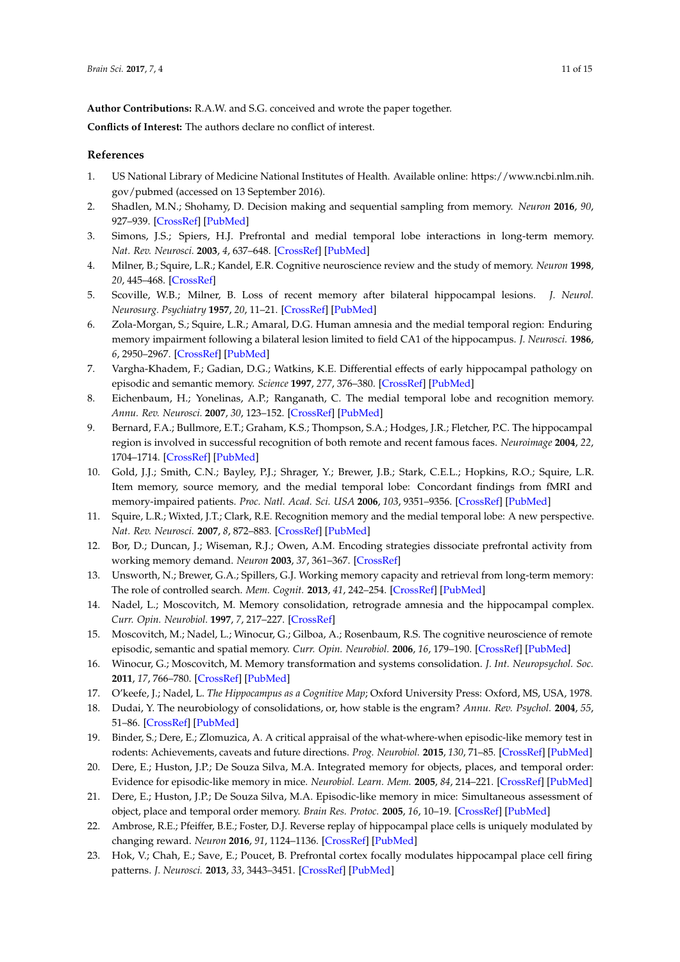**Author Contributions:** R.A.W. and S.G. conceived and wrote the paper together.

**Conflicts of Interest:** The authors declare no conflict of interest.

# **References**

- <span id="page-10-0"></span>1. US National Library of Medicine National Institutes of Health. Available online: [https://www.ncbi.nlm.nih.](https://www.ncbi.nlm.nih.gov/pubmed) [gov/pubmed](https://www.ncbi.nlm.nih.gov/pubmed) (accessed on 13 September 2016).
- <span id="page-10-1"></span>2. Shadlen, M.N.; Shohamy, D. Decision making and sequential sampling from memory. *Neuron* **2016**, *90*, 927–939. [\[CrossRef\]](http://dx.doi.org/10.1016/j.neuron.2016.04.036) [\[PubMed\]](http://www.ncbi.nlm.nih.gov/pubmed/27253447)
- <span id="page-10-2"></span>3. Simons, J.S.; Spiers, H.J. Prefrontal and medial temporal lobe interactions in long-term memory. *Nat. Rev. Neurosci.* **2003**, *4*, 637–648. [\[CrossRef\]](http://dx.doi.org/10.1038/nrn1178) [\[PubMed\]](http://www.ncbi.nlm.nih.gov/pubmed/12894239)
- <span id="page-10-3"></span>4. Milner, B.; Squire, L.R.; Kandel, E.R. Cognitive neuroscience review and the study of memory. *Neuron* **1998**, *20*, 445–468. [\[CrossRef\]](http://dx.doi.org/10.1016/S0896-6273(00)80987-3)
- <span id="page-10-4"></span>5. Scoville, W.B.; Milner, B. Loss of recent memory after bilateral hippocampal lesions. *J. Neurol. Neurosurg. Psychiatry* **1957**, *20*, 11–21. [\[CrossRef\]](http://dx.doi.org/10.1136/jnnp.20.1.11) [\[PubMed\]](http://www.ncbi.nlm.nih.gov/pubmed/13406589)
- <span id="page-10-5"></span>6. Zola-Morgan, S.; Squire, L.R.; Amaral, D.G. Human amnesia and the medial temporal region: Enduring memory impairment following a bilateral lesion limited to field CA1 of the hippocampus. *J. Neurosci.* **1986**, *6*, 2950–2967. [\[CrossRef\]](http://dx.doi.org/10.1093/neucas/2.4.259-aw) [\[PubMed\]](http://www.ncbi.nlm.nih.gov/pubmed/3760943)
- <span id="page-10-6"></span>7. Vargha-Khadem, F.; Gadian, D.G.; Watkins, K.E. Differential effects of early hippocampal pathology on episodic and semantic memory. *Science* **1997**, *277*, 376–380. [\[CrossRef\]](http://dx.doi.org/10.1126/science.277.5324.376) [\[PubMed\]](http://www.ncbi.nlm.nih.gov/pubmed/9219696)
- <span id="page-10-7"></span>8. Eichenbaum, H.; Yonelinas, A.P.; Ranganath, C. The medial temporal lobe and recognition memory. *Annu. Rev. Neurosci.* **2007**, *30*, 123–152. [\[CrossRef\]](http://dx.doi.org/10.1146/annurev.neuro.30.051606.094328) [\[PubMed\]](http://www.ncbi.nlm.nih.gov/pubmed/17417939)
- <span id="page-10-8"></span>9. Bernard, F.A.; Bullmore, E.T.; Graham, K.S.; Thompson, S.A.; Hodges, J.R.; Fletcher, P.C. The hippocampal region is involved in successful recognition of both remote and recent famous faces. *Neuroimage* **2004**, *22*, 1704–1714. [\[CrossRef\]](http://dx.doi.org/10.1016/j.neuroimage.2004.03.036) [\[PubMed\]](http://www.ncbi.nlm.nih.gov/pubmed/15275926)
- <span id="page-10-9"></span>10. Gold, J.J.; Smith, C.N.; Bayley, P.J.; Shrager, Y.; Brewer, J.B.; Stark, C.E.L.; Hopkins, R.O.; Squire, L.R. Item memory, source memory, and the medial temporal lobe: Concordant findings from fMRI and memory-impaired patients. *Proc. Natl. Acad. Sci. USA* **2006**, *103*, 9351–9356. [\[CrossRef\]](http://dx.doi.org/10.1073/pnas.0602716103) [\[PubMed\]](http://www.ncbi.nlm.nih.gov/pubmed/16751272)
- <span id="page-10-10"></span>11. Squire, L.R.; Wixted, J.T.; Clark, R.E. Recognition memory and the medial temporal lobe: A new perspective. *Nat. Rev. Neurosci.* **2007**, *8*, 872–883. [\[CrossRef\]](http://dx.doi.org/10.1038/nrn2154) [\[PubMed\]](http://www.ncbi.nlm.nih.gov/pubmed/17948032)
- <span id="page-10-11"></span>12. Bor, D.; Duncan, J.; Wiseman, R.J.; Owen, A.M. Encoding strategies dissociate prefrontal activity from working memory demand. *Neuron* **2003**, *37*, 361–367. [\[CrossRef\]](http://dx.doi.org/10.1016/S0896-6273(02)01171-6)
- <span id="page-10-12"></span>13. Unsworth, N.; Brewer, G.A.; Spillers, G.J. Working memory capacity and retrieval from long-term memory: The role of controlled search. *Mem. Cognit.* **2013**, *41*, 242–254. [\[CrossRef\]](http://dx.doi.org/10.3758/s13421-012-0261-x) [\[PubMed\]](http://www.ncbi.nlm.nih.gov/pubmed/23055120)
- <span id="page-10-13"></span>14. Nadel, L.; Moscovitch, M. Memory consolidation, retrograde amnesia and the hippocampal complex. *Curr. Opin. Neurobiol.* **1997**, *7*, 217–227. [\[CrossRef\]](http://dx.doi.org/10.1016/S0959-4388(97)80010-4)
- <span id="page-10-14"></span>15. Moscovitch, M.; Nadel, L.; Winocur, G.; Gilboa, A.; Rosenbaum, R.S. The cognitive neuroscience of remote episodic, semantic and spatial memory. *Curr. Opin. Neurobiol.* **2006**, *16*, 179–190. [\[CrossRef\]](http://dx.doi.org/10.1016/j.conb.2006.03.013) [\[PubMed\]](http://www.ncbi.nlm.nih.gov/pubmed/16564688)
- <span id="page-10-15"></span>16. Winocur, G.; Moscovitch, M. Memory transformation and systems consolidation. *J. Int. Neuropsychol. Soc.* **2011**, *17*, 766–780. [\[CrossRef\]](http://dx.doi.org/10.1017/S1355617711000683) [\[PubMed\]](http://www.ncbi.nlm.nih.gov/pubmed/21729403)
- <span id="page-10-16"></span>17. O'keefe, J.; Nadel, L. *The Hippocampus as a Cognitive Map*; Oxford University Press: Oxford, MS, USA, 1978.
- <span id="page-10-17"></span>18. Dudai, Y. The neurobiology of consolidations, or, how stable is the engram? *Annu. Rev. Psychol.* **2004**, *55*, 51–86. [\[CrossRef\]](http://dx.doi.org/10.1146/annurev.psych.55.090902.142050) [\[PubMed\]](http://www.ncbi.nlm.nih.gov/pubmed/14744210)
- <span id="page-10-18"></span>19. Binder, S.; Dere, E.; Zlomuzica, A. A critical appraisal of the what-where-when episodic-like memory test in rodents: Achievements, caveats and future directions. *Prog. Neurobiol.* **2015**, *130*, 71–85. [\[CrossRef\]](http://dx.doi.org/10.1016/j.pneurobio.2015.04.002) [\[PubMed\]](http://www.ncbi.nlm.nih.gov/pubmed/25930683)
- <span id="page-10-19"></span>20. Dere, E.; Huston, J.P.; De Souza Silva, M.A. Integrated memory for objects, places, and temporal order: Evidence for episodic-like memory in mice. *Neurobiol. Learn. Mem.* **2005**, *84*, 214–221. [\[CrossRef\]](http://dx.doi.org/10.1016/j.nlm.2005.07.002) [\[PubMed\]](http://www.ncbi.nlm.nih.gov/pubmed/16102980)
- <span id="page-10-20"></span>21. Dere, E.; Huston, J.P.; De Souza Silva, M.A. Episodic-like memory in mice: Simultaneous assessment of object, place and temporal order memory. *Brain Res. Protoc.* **2005**, *16*, 10–19. [\[CrossRef\]](http://dx.doi.org/10.1016/j.brainresprot.2005.08.001) [\[PubMed\]](http://www.ncbi.nlm.nih.gov/pubmed/16185914)
- <span id="page-10-21"></span>22. Ambrose, R.E.; Pfeiffer, B.E.; Foster, D.J. Reverse replay of hippocampal place cells is uniquely modulated by changing reward. *Neuron* **2016**, *91*, 1124–1136. [\[CrossRef\]](http://dx.doi.org/10.1016/j.neuron.2016.07.047) [\[PubMed\]](http://www.ncbi.nlm.nih.gov/pubmed/27568518)
- 23. Hok, V.; Chah, E.; Save, E.; Poucet, B. Prefrontal cortex focally modulates hippocampal place cell firing patterns. *J. Neurosci.* **2013**, *33*, 3443–3451. [\[CrossRef\]](http://dx.doi.org/10.1523/JNEUROSCI.3427-12.2013) [\[PubMed\]](http://www.ncbi.nlm.nih.gov/pubmed/23426672)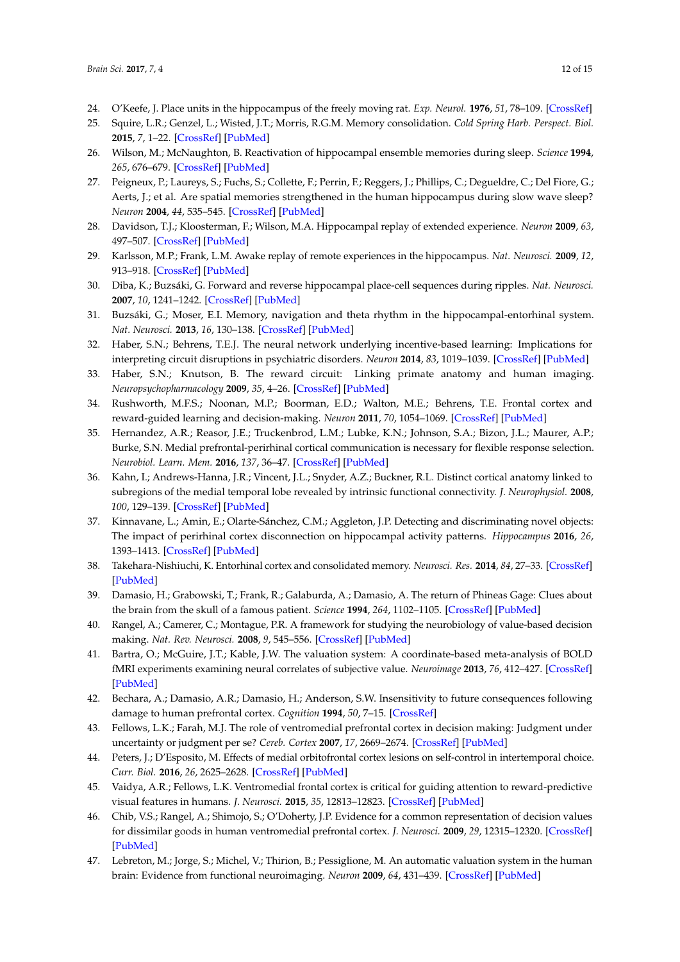- <span id="page-11-0"></span>24. O'Keefe, J. Place units in the hippocampus of the freely moving rat. *Exp. Neurol.* **1976**, *51*, 78–109. [\[CrossRef\]](http://dx.doi.org/10.1016/0014-4886(76)90055-8)
- <span id="page-11-1"></span>25. Squire, L.R.; Genzel, L.; Wisted, J.T.; Morris, R.G.M. Memory consolidation. *Cold Spring Harb. Perspect. Biol.* **2015**, *7*, 1–22. [\[CrossRef\]](http://dx.doi.org/10.1101/cshperspect.a021766) [\[PubMed\]](http://www.ncbi.nlm.nih.gov/pubmed/26238360)
- <span id="page-11-2"></span>26. Wilson, M.; McNaughton, B. Reactivation of hippocampal ensemble memories during sleep. *Science* **1994**, *265*, 676–679. [\[CrossRef\]](http://dx.doi.org/10.1126/science.8036517) [\[PubMed\]](http://www.ncbi.nlm.nih.gov/pubmed/8036517)
- <span id="page-11-3"></span>27. Peigneux, P.; Laureys, S.; Fuchs, S.; Collette, F.; Perrin, F.; Reggers, J.; Phillips, C.; Degueldre, C.; Del Fiore, G.; Aerts, J.; et al. Are spatial memories strengthened in the human hippocampus during slow wave sleep? *Neuron* **2004**, *44*, 535–545. [\[CrossRef\]](http://dx.doi.org/10.1016/j.neuron.2004.10.007) [\[PubMed\]](http://www.ncbi.nlm.nih.gov/pubmed/15504332)
- <span id="page-11-4"></span>28. Davidson, T.J.; Kloosterman, F.; Wilson, M.A. Hippocampal replay of extended experience. *Neuron* **2009**, *63*, 497–507. [\[CrossRef\]](http://dx.doi.org/10.1016/j.neuron.2009.07.027) [\[PubMed\]](http://www.ncbi.nlm.nih.gov/pubmed/19709631)
- <span id="page-11-5"></span>29. Karlsson, M.P.; Frank, L.M. Awake replay of remote experiences in the hippocampus. *Nat. Neurosci.* **2009**, *12*, 913–918. [\[CrossRef\]](http://dx.doi.org/10.1038/nn.2344) [\[PubMed\]](http://www.ncbi.nlm.nih.gov/pubmed/19525943)
- <span id="page-11-6"></span>30. Diba, K.; Buzsáki, G. Forward and reverse hippocampal place-cell sequences during ripples. *Nat. Neurosci.* **2007**, *10*, 1241–1242. [\[CrossRef\]](http://dx.doi.org/10.1038/nn1961) [\[PubMed\]](http://www.ncbi.nlm.nih.gov/pubmed/17828259)
- <span id="page-11-7"></span>31. Buzsáki, G.; Moser, E.I. Memory, navigation and theta rhythm in the hippocampal-entorhinal system. *Nat. Neurosci.* **2013**, *16*, 130–138. [\[CrossRef\]](http://dx.doi.org/10.1038/nn.3304) [\[PubMed\]](http://www.ncbi.nlm.nih.gov/pubmed/23354386)
- <span id="page-11-8"></span>32. Haber, S.N.; Behrens, T.E.J. The neural network underlying incentive-based learning: Implications for interpreting circuit disruptions in psychiatric disorders. *Neuron* **2014**, *83*, 1019–1039. [\[CrossRef\]](http://dx.doi.org/10.1016/j.neuron.2014.08.031) [\[PubMed\]](http://www.ncbi.nlm.nih.gov/pubmed/25189208)
- <span id="page-11-9"></span>33. Haber, S.N.; Knutson, B. The reward circuit: Linking primate anatomy and human imaging. *Neuropsychopharmacology* **2009**, *35*, 4–26. [\[CrossRef\]](http://dx.doi.org/10.1038/npp.2009.129) [\[PubMed\]](http://www.ncbi.nlm.nih.gov/pubmed/19812543)
- <span id="page-11-10"></span>34. Rushworth, M.F.S.; Noonan, M.P.; Boorman, E.D.; Walton, M.E.; Behrens, T.E. Frontal cortex and reward-guided learning and decision-making. *Neuron* **2011**, *70*, 1054–1069. [\[CrossRef\]](http://dx.doi.org/10.1016/j.neuron.2011.05.014) [\[PubMed\]](http://www.ncbi.nlm.nih.gov/pubmed/21689594)
- <span id="page-11-11"></span>35. Hernandez, A.R.; Reasor, J.E.; Truckenbrod, L.M.; Lubke, K.N.; Johnson, S.A.; Bizon, J.L.; Maurer, A.P.; Burke, S.N. Medial prefrontal-perirhinal cortical communication is necessary for flexible response selection. *Neurobiol. Learn. Mem.* **2016**, *137*, 36–47. [\[CrossRef\]](http://dx.doi.org/10.1016/j.nlm.2016.10.012) [\[PubMed\]](http://www.ncbi.nlm.nih.gov/pubmed/27815215)
- 36. Kahn, I.; Andrews-Hanna, J.R.; Vincent, J.L.; Snyder, A.Z.; Buckner, R.L. Distinct cortical anatomy linked to subregions of the medial temporal lobe revealed by intrinsic functional connectivity. *J. Neurophysiol.* **2008**, *100*, 129–139. [\[CrossRef\]](http://dx.doi.org/10.1152/jn.00077.2008) [\[PubMed\]](http://www.ncbi.nlm.nih.gov/pubmed/18385483)
- 37. Kinnavane, L.; Amin, E.; Olarte-Sánchez, C.M.; Aggleton, J.P. Detecting and discriminating novel objects: The impact of perirhinal cortex disconnection on hippocampal activity patterns. *Hippocampus* **2016**, *26*, 1393–1413. [\[CrossRef\]](http://dx.doi.org/10.1002/hipo.22615) [\[PubMed\]](http://www.ncbi.nlm.nih.gov/pubmed/27398938)
- <span id="page-11-12"></span>38. Takehara-Nishiuchi, K. Entorhinal cortex and consolidated memory. *Neurosci. Res.* **2014**, *84*, 27–33. [\[CrossRef\]](http://dx.doi.org/10.1016/j.neures.2014.02.012) [\[PubMed\]](http://www.ncbi.nlm.nih.gov/pubmed/24642278)
- <span id="page-11-13"></span>39. Damasio, H.; Grabowski, T.; Frank, R.; Galaburda, A.; Damasio, A. The return of Phineas Gage: Clues about the brain from the skull of a famous patient. *Science* **1994**, *264*, 1102–1105. [\[CrossRef\]](http://dx.doi.org/10.1126/science.8178168) [\[PubMed\]](http://www.ncbi.nlm.nih.gov/pubmed/8178168)
- 40. Rangel, A.; Camerer, C.; Montague, P.R. A framework for studying the neurobiology of value-based decision making. *Nat. Rev. Neurosci.* **2008**, *9*, 545–556. [\[CrossRef\]](http://dx.doi.org/10.1038/nrn2357) [\[PubMed\]](http://www.ncbi.nlm.nih.gov/pubmed/18545266)
- <span id="page-11-14"></span>41. Bartra, O.; McGuire, J.T.; Kable, J.W. The valuation system: A coordinate-based meta-analysis of BOLD fMRI experiments examining neural correlates of subjective value. *Neuroimage* **2013**, *76*, 412–427. [\[CrossRef\]](http://dx.doi.org/10.1016/j.neuroimage.2013.02.063) [\[PubMed\]](http://www.ncbi.nlm.nih.gov/pubmed/23507394)
- <span id="page-11-15"></span>42. Bechara, A.; Damasio, A.R.; Damasio, H.; Anderson, S.W. Insensitivity to future consequences following damage to human prefrontal cortex. *Cognition* **1994**, *50*, 7–15. [\[CrossRef\]](http://dx.doi.org/10.1016/0010-0277(94)90018-3)
- <span id="page-11-16"></span>43. Fellows, L.K.; Farah, M.J. The role of ventromedial prefrontal cortex in decision making: Judgment under uncertainty or judgment per se? *Cereb. Cortex* **2007**, *17*, 2669–2674. [\[CrossRef\]](http://dx.doi.org/10.1093/cercor/bhl176) [\[PubMed\]](http://www.ncbi.nlm.nih.gov/pubmed/17259643)
- <span id="page-11-17"></span>44. Peters, J.; D'Esposito, M. Effects of medial orbitofrontal cortex lesions on self-control in intertemporal choice. *Curr. Biol.* **2016**, *26*, 2625–2628. [\[CrossRef\]](http://dx.doi.org/10.1016/j.cub.2016.07.035) [\[PubMed\]](http://www.ncbi.nlm.nih.gov/pubmed/27593380)
- <span id="page-11-18"></span>45. Vaidya, A.R.; Fellows, L.K. Ventromedial frontal cortex is critical for guiding attention to reward-predictive visual features in humans. *J. Neurosci.* **2015**, *35*, 12813–12823. [\[CrossRef\]](http://dx.doi.org/10.1523/JNEUROSCI.1607-15.2015) [\[PubMed\]](http://www.ncbi.nlm.nih.gov/pubmed/26377468)
- <span id="page-11-19"></span>46. Chib, V.S.; Rangel, A.; Shimojo, S.; O'Doherty, J.P. Evidence for a common representation of decision values for dissimilar goods in human ventromedial prefrontal cortex. *J. Neurosci.* **2009**, *29*, 12315–12320. [\[CrossRef\]](http://dx.doi.org/10.1523/JNEUROSCI.2575-09.2009) [\[PubMed\]](http://www.ncbi.nlm.nih.gov/pubmed/19793990)
- <span id="page-11-20"></span>47. Lebreton, M.; Jorge, S.; Michel, V.; Thirion, B.; Pessiglione, M. An automatic valuation system in the human brain: Evidence from functional neuroimaging. *Neuron* **2009**, *64*, 431–439. [\[CrossRef\]](http://dx.doi.org/10.1016/j.neuron.2009.09.040) [\[PubMed\]](http://www.ncbi.nlm.nih.gov/pubmed/19914190)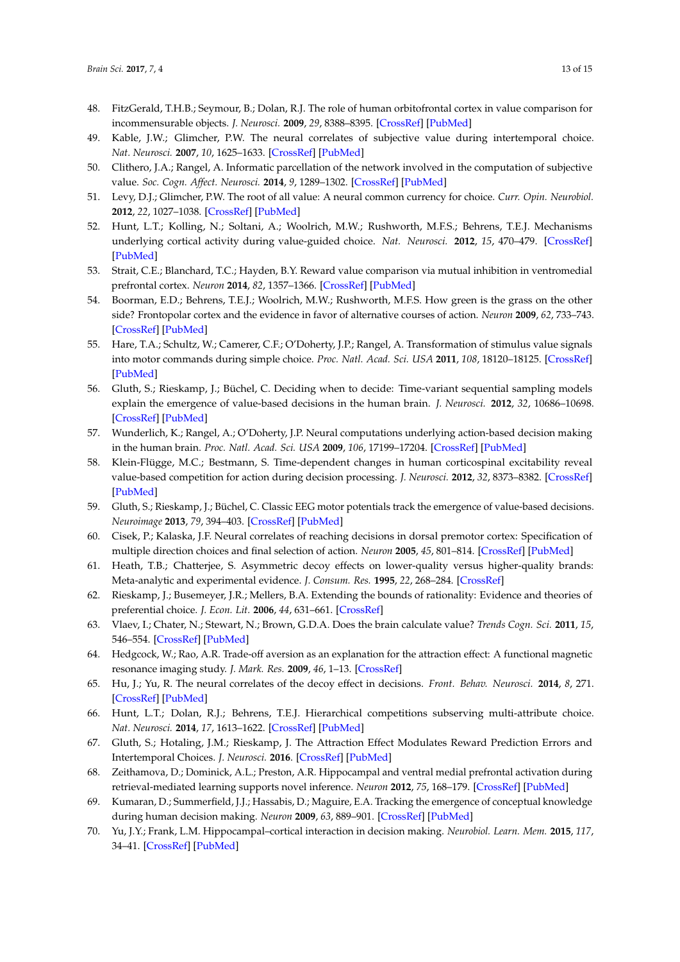- 48. FitzGerald, T.H.B.; Seymour, B.; Dolan, R.J. The role of human orbitofrontal cortex in value comparison for incommensurable objects. *J. Neurosci.* **2009**, *29*, 8388–8395. [\[CrossRef\]](http://dx.doi.org/10.1523/JNEUROSCI.0717-09.2009) [\[PubMed\]](http://www.ncbi.nlm.nih.gov/pubmed/19571129)
- <span id="page-12-0"></span>49. Kable, J.W.; Glimcher, P.W. The neural correlates of subjective value during intertemporal choice. *Nat. Neurosci.* **2007**, *10*, 1625–1633. [\[CrossRef\]](http://dx.doi.org/10.1038/nn2007) [\[PubMed\]](http://www.ncbi.nlm.nih.gov/pubmed/17982449)
- <span id="page-12-1"></span>50. Clithero, J.A.; Rangel, A. Informatic parcellation of the network involved in the computation of subjective value. *Soc. Cogn. Affect. Neurosci.* **2014**, *9*, 1289–1302. [\[CrossRef\]](http://dx.doi.org/10.1093/scan/nst106) [\[PubMed\]](http://www.ncbi.nlm.nih.gov/pubmed/23887811)
- <span id="page-12-2"></span>51. Levy, D.J.; Glimcher, P.W. The root of all value: A neural common currency for choice. *Curr. Opin. Neurobiol.* **2012**, *22*, 1027–1038. [\[CrossRef\]](http://dx.doi.org/10.1016/j.conb.2012.06.001) [\[PubMed\]](http://www.ncbi.nlm.nih.gov/pubmed/22766486)
- <span id="page-12-3"></span>52. Hunt, L.T.; Kolling, N.; Soltani, A.; Woolrich, M.W.; Rushworth, M.F.S.; Behrens, T.E.J. Mechanisms underlying cortical activity during value-guided choice. *Nat. Neurosci.* **2012**, *15*, 470–479. [\[CrossRef\]](http://dx.doi.org/10.1038/nn.3017) [\[PubMed\]](http://www.ncbi.nlm.nih.gov/pubmed/22231429)
- 53. Strait, C.E.; Blanchard, T.C.; Hayden, B.Y. Reward value comparison via mutual inhibition in ventromedial prefrontal cortex. *Neuron* **2014**, *82*, 1357–1366. [\[CrossRef\]](http://dx.doi.org/10.1016/j.neuron.2014.04.032) [\[PubMed\]](http://www.ncbi.nlm.nih.gov/pubmed/24881835)
- <span id="page-12-4"></span>54. Boorman, E.D.; Behrens, T.E.J.; Woolrich, M.W.; Rushworth, M.F.S. How green is the grass on the other side? Frontopolar cortex and the evidence in favor of alternative courses of action. *Neuron* **2009**, *62*, 733–743. [\[CrossRef\]](http://dx.doi.org/10.1016/j.neuron.2009.05.014) [\[PubMed\]](http://www.ncbi.nlm.nih.gov/pubmed/19524531)
- <span id="page-12-5"></span>55. Hare, T.A.; Schultz, W.; Camerer, C.F.; O'Doherty, J.P.; Rangel, A. Transformation of stimulus value signals into motor commands during simple choice. *Proc. Natl. Acad. Sci. USA* **2011**, *108*, 18120–18125. [\[CrossRef\]](http://dx.doi.org/10.1073/pnas.1109322108) [\[PubMed\]](http://www.ncbi.nlm.nih.gov/pubmed/22006321)
- <span id="page-12-7"></span>56. Gluth, S.; Rieskamp, J.; Büchel, C. Deciding when to decide: Time-variant sequential sampling models explain the emergence of value-based decisions in the human brain. *J. Neurosci.* **2012**, *32*, 10686–10698. [\[CrossRef\]](http://dx.doi.org/10.1523/JNEUROSCI.0727-12.2012) [\[PubMed\]](http://www.ncbi.nlm.nih.gov/pubmed/22855817)
- <span id="page-12-6"></span>57. Wunderlich, K.; Rangel, A.; O'Doherty, J.P. Neural computations underlying action-based decision making in the human brain. *Proc. Natl. Acad. Sci. USA* **2009**, *106*, 17199–17204. [\[CrossRef\]](http://dx.doi.org/10.1073/pnas.0901077106) [\[PubMed\]](http://www.ncbi.nlm.nih.gov/pubmed/19805082)
- <span id="page-12-8"></span>58. Klein-Flügge, M.C.; Bestmann, S. Time-dependent changes in human corticospinal excitability reveal value-based competition for action during decision processing. *J. Neurosci.* **2012**, *32*, 8373–8382. [\[CrossRef\]](http://dx.doi.org/10.1523/JNEUROSCI.0270-12.2012) [\[PubMed\]](http://www.ncbi.nlm.nih.gov/pubmed/22699917)
- 59. Gluth, S.; Rieskamp, J.; Büchel, C. Classic EEG motor potentials track the emergence of value-based decisions. *Neuroimage* **2013**, *79*, 394–403. [\[CrossRef\]](http://dx.doi.org/10.1016/j.neuroimage.2013.05.005) [\[PubMed\]](http://www.ncbi.nlm.nih.gov/pubmed/23664943)
- <span id="page-12-9"></span>60. Cisek, P.; Kalaska, J.F. Neural correlates of reaching decisions in dorsal premotor cortex: Specification of multiple direction choices and final selection of action. *Neuron* **2005**, *45*, 801–814. [\[CrossRef\]](http://dx.doi.org/10.1016/j.neuron.2005.01.027) [\[PubMed\]](http://www.ncbi.nlm.nih.gov/pubmed/15748854)
- <span id="page-12-10"></span>61. Heath, T.B.; Chatterjee, S. Asymmetric decoy effects on lower-quality versus higher-quality brands: Meta-analytic and experimental evidence. *J. Consum. Res.* **1995**, *22*, 268–284. [\[CrossRef\]](http://dx.doi.org/10.1086/209449)
- 62. Rieskamp, J.; Busemeyer, J.R.; Mellers, B.A. Extending the bounds of rationality: Evidence and theories of preferential choice. *J. Econ. Lit.* **2006**, *44*, 631–661. [\[CrossRef\]](http://dx.doi.org/10.1257/jel.44.3.631)
- <span id="page-12-11"></span>63. Vlaev, I.; Chater, N.; Stewart, N.; Brown, G.D.A. Does the brain calculate value? *Trends Cogn. Sci.* **2011**, *15*, 546–554. [\[CrossRef\]](http://dx.doi.org/10.1016/j.tics.2011.09.008) [\[PubMed\]](http://www.ncbi.nlm.nih.gov/pubmed/21983149)
- <span id="page-12-12"></span>64. Hedgcock, W.; Rao, A.R. Trade-off aversion as an explanation for the attraction effect: A functional magnetic resonance imaging study. *J. Mark. Res.* **2009**, *46*, 1–13. [\[CrossRef\]](http://dx.doi.org/10.1509/jmkr.46.1.1)
- 65. Hu, J.; Yu, R. The neural correlates of the decoy effect in decisions. *Front. Behav. Neurosci.* **2014**, *8*, 271. [\[CrossRef\]](http://dx.doi.org/10.3389/fnbeh.2014.00271) [\[PubMed\]](http://www.ncbi.nlm.nih.gov/pubmed/25147516)
- 66. Hunt, L.T.; Dolan, R.J.; Behrens, T.E.J. Hierarchical competitions subserving multi-attribute choice. *Nat. Neurosci.* **2014**, *17*, 1613–1622. [\[CrossRef\]](http://dx.doi.org/10.1038/nn.3836) [\[PubMed\]](http://www.ncbi.nlm.nih.gov/pubmed/25306549)
- <span id="page-12-13"></span>67. Gluth, S.; Hotaling, J.M.; Rieskamp, J. The Attraction Effect Modulates Reward Prediction Errors and Intertemporal Choices. *J. Neurosci.* **2016**. [\[CrossRef\]](http://dx.doi.org/10.1523/JNEUROSCI.2532-16.2016) [\[PubMed\]](http://www.ncbi.nlm.nih.gov/pubmed/27909102)
- <span id="page-12-14"></span>68. Zeithamova, D.; Dominick, A.L.; Preston, A.R. Hippocampal and ventral medial prefrontal activation during retrieval-mediated learning supports novel inference. *Neuron* **2012**, *75*, 168–179. [\[CrossRef\]](http://dx.doi.org/10.1016/j.neuron.2012.05.010) [\[PubMed\]](http://www.ncbi.nlm.nih.gov/pubmed/22794270)
- <span id="page-12-15"></span>69. Kumaran, D.; Summerfield, J.J.; Hassabis, D.; Maguire, E.A. Tracking the emergence of conceptual knowledge during human decision making. *Neuron* **2009**, *63*, 889–901. [\[CrossRef\]](http://dx.doi.org/10.1016/j.neuron.2009.07.030) [\[PubMed\]](http://www.ncbi.nlm.nih.gov/pubmed/19778516)
- <span id="page-12-16"></span>70. Yu, J.Y.; Frank, L.M. Hippocampal–cortical interaction in decision making. *Neurobiol. Learn. Mem.* **2015**, *117*, 34–41. [\[CrossRef\]](http://dx.doi.org/10.1016/j.nlm.2014.02.002) [\[PubMed\]](http://www.ncbi.nlm.nih.gov/pubmed/24530374)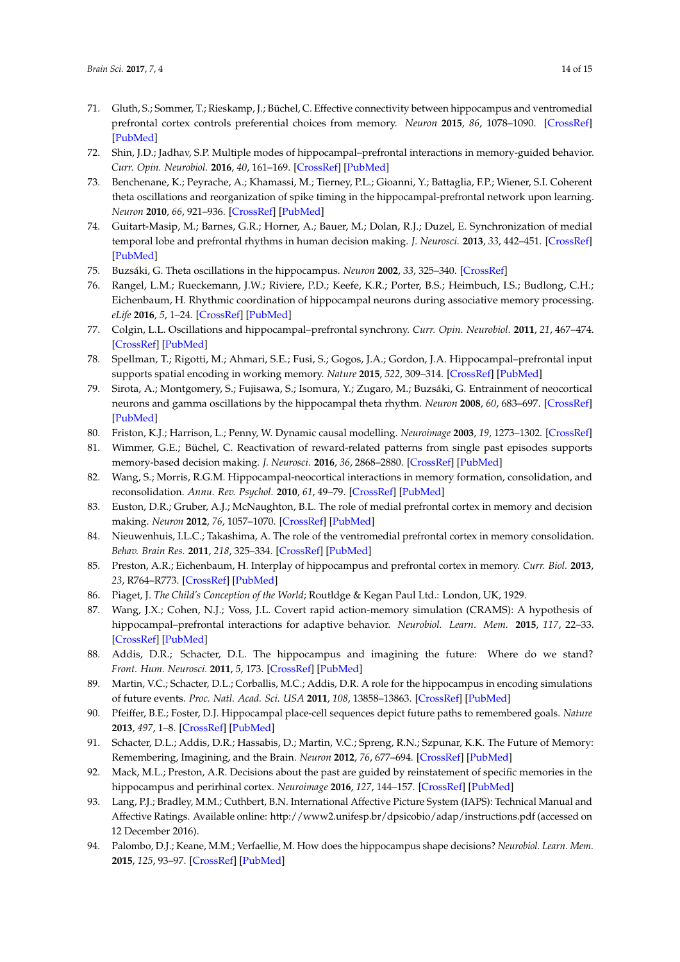- <span id="page-13-0"></span>71. Gluth, S.; Sommer, T.; Rieskamp, J.; Büchel, C. Effective connectivity between hippocampus and ventromedial prefrontal cortex controls preferential choices from memory. *Neuron* **2015**, *86*, 1078–1090. [\[CrossRef\]](http://dx.doi.org/10.1016/j.neuron.2015.04.023) [\[PubMed\]](http://www.ncbi.nlm.nih.gov/pubmed/25996135)
- <span id="page-13-1"></span>72. Shin, J.D.; Jadhav, S.P. Multiple modes of hippocampal–prefrontal interactions in memory-guided behavior. *Curr. Opin. Neurobiol.* **2016**, *40*, 161–169. [\[CrossRef\]](http://dx.doi.org/10.1016/j.conb.2016.07.015) [\[PubMed\]](http://www.ncbi.nlm.nih.gov/pubmed/27543753)
- <span id="page-13-2"></span>73. Benchenane, K.; Peyrache, A.; Khamassi, M.; Tierney, P.L.; Gioanni, Y.; Battaglia, F.P.; Wiener, S.I. Coherent theta oscillations and reorganization of spike timing in the hippocampal-prefrontal network upon learning. *Neuron* **2010**, *66*, 921–936. [\[CrossRef\]](http://dx.doi.org/10.1016/j.neuron.2010.05.013) [\[PubMed\]](http://www.ncbi.nlm.nih.gov/pubmed/20620877)
- <span id="page-13-3"></span>74. Guitart-Masip, M.; Barnes, G.R.; Horner, A.; Bauer, M.; Dolan, R.J.; Duzel, E. Synchronization of medial temporal lobe and prefrontal rhythms in human decision making. *J. Neurosci.* **2013**, *33*, 442–451. [\[CrossRef\]](http://dx.doi.org/10.1523/JNEUROSCI.2573-12.2013) [\[PubMed\]](http://www.ncbi.nlm.nih.gov/pubmed/23303925)
- <span id="page-13-4"></span>75. Buzsáki, G. Theta oscillations in the hippocampus. *Neuron* **2002**, *33*, 325–340. [\[CrossRef\]](http://dx.doi.org/10.1016/S0896-6273(02)00586-X)
- <span id="page-13-5"></span>76. Rangel, L.M.; Rueckemann, J.W.; Riviere, P.D.; Keefe, K.R.; Porter, B.S.; Heimbuch, I.S.; Budlong, C.H.; Eichenbaum, H. Rhythmic coordination of hippocampal neurons during associative memory processing. *eLife* **2016**, *5*, 1–24. [\[CrossRef\]](http://dx.doi.org/10.7554/eLife.09849) [\[PubMed\]](http://www.ncbi.nlm.nih.gov/pubmed/26751780)
- <span id="page-13-6"></span>77. Colgin, L.L. Oscillations and hippocampal–prefrontal synchrony. *Curr. Opin. Neurobiol.* **2011**, *21*, 467–474. [\[CrossRef\]](http://dx.doi.org/10.1016/j.conb.2011.04.006) [\[PubMed\]](http://www.ncbi.nlm.nih.gov/pubmed/21571522)
- <span id="page-13-7"></span>78. Spellman, T.; Rigotti, M.; Ahmari, S.E.; Fusi, S.; Gogos, J.A.; Gordon, J.A. Hippocampal–prefrontal input supports spatial encoding in working memory. *Nature* **2015**, *522*, 309–314. [\[CrossRef\]](http://dx.doi.org/10.1038/nature14445) [\[PubMed\]](http://www.ncbi.nlm.nih.gov/pubmed/26053122)
- <span id="page-13-8"></span>79. Sirota, A.; Montgomery, S.; Fujisawa, S.; Isomura, Y.; Zugaro, M.; Buzsáki, G. Entrainment of neocortical neurons and gamma oscillations by the hippocampal theta rhythm. *Neuron* **2008**, *60*, 683–697. [\[CrossRef\]](http://dx.doi.org/10.1016/j.neuron.2008.09.014) [\[PubMed\]](http://www.ncbi.nlm.nih.gov/pubmed/19038224)
- <span id="page-13-9"></span>80. Friston, K.J.; Harrison, L.; Penny, W. Dynamic causal modelling. *Neuroimage* **2003**, *19*, 1273–1302. [\[CrossRef\]](http://dx.doi.org/10.1016/S1053-8119(03)00202-7)
- <span id="page-13-10"></span>81. Wimmer, G.E.; Büchel, C. Reactivation of reward-related patterns from single past episodes supports memory-based decision making. *J. Neurosci.* **2016**, *36*, 2868–2880. [\[CrossRef\]](http://dx.doi.org/10.1523/JNEUROSCI.3433-15.2016) [\[PubMed\]](http://www.ncbi.nlm.nih.gov/pubmed/26961943)
- <span id="page-13-11"></span>82. Wang, S.; Morris, R.G.M. Hippocampal-neocortical interactions in memory formation, consolidation, and reconsolidation. *Annu. Rev. Psychol.* **2010**, *61*, 49–79. [\[CrossRef\]](http://dx.doi.org/10.1146/annurev.psych.093008.100523) [\[PubMed\]](http://www.ncbi.nlm.nih.gov/pubmed/19575620)
- <span id="page-13-12"></span>83. Euston, D.R.; Gruber, A.J.; McNaughton, B.L. The role of medial prefrontal cortex in memory and decision making. *Neuron* **2012**, *76*, 1057–1070. [\[CrossRef\]](http://dx.doi.org/10.1016/j.neuron.2012.12.002) [\[PubMed\]](http://www.ncbi.nlm.nih.gov/pubmed/23259943)
- <span id="page-13-13"></span>84. Nieuwenhuis, I.L.C.; Takashima, A. The role of the ventromedial prefrontal cortex in memory consolidation. *Behav. Brain Res.* **2011**, *218*, 325–334. [\[CrossRef\]](http://dx.doi.org/10.1016/j.bbr.2010.12.009) [\[PubMed\]](http://www.ncbi.nlm.nih.gov/pubmed/21147169)
- <span id="page-13-14"></span>85. Preston, A.R.; Eichenbaum, H. Interplay of hippocampus and prefrontal cortex in memory. *Curr. Biol.* **2013**, *23*, R764–R773. [\[CrossRef\]](http://dx.doi.org/10.1016/j.cub.2013.05.041) [\[PubMed\]](http://www.ncbi.nlm.nih.gov/pubmed/24028960)
- <span id="page-13-15"></span>86. Piaget, J. *The Child's Conception of the World*; Routldge & Kegan Paul Ltd.: London, UK, 1929.
- <span id="page-13-16"></span>87. Wang, J.X.; Cohen, N.J.; Voss, J.L. Covert rapid action-memory simulation (CRAMS): A hypothesis of hippocampal–prefrontal interactions for adaptive behavior. *Neurobiol. Learn. Mem.* **2015**, *117*, 22–33. [\[CrossRef\]](http://dx.doi.org/10.1016/j.nlm.2014.04.003) [\[PubMed\]](http://www.ncbi.nlm.nih.gov/pubmed/24752152)
- <span id="page-13-17"></span>88. Addis, D.R.; Schacter, D.L. The hippocampus and imagining the future: Where do we stand? *Front. Hum. Neurosci.* **2011**, *5*, 173. [\[CrossRef\]](http://dx.doi.org/10.3389/fnhum.2011.00173) [\[PubMed\]](http://www.ncbi.nlm.nih.gov/pubmed/22291625)
- 89. Martin, V.C.; Schacter, D.L.; Corballis, M.C.; Addis, D.R. A role for the hippocampus in encoding simulations of future events. *Proc. Natl. Acad. Sci. USA* **2011**, *108*, 13858–13863. [\[CrossRef\]](http://dx.doi.org/10.1073/pnas.1105816108) [\[PubMed\]](http://www.ncbi.nlm.nih.gov/pubmed/21810986)
- 90. Pfeiffer, B.E.; Foster, D.J. Hippocampal place-cell sequences depict future paths to remembered goals. *Nature* **2013**, *497*, 1–8. [\[CrossRef\]](http://dx.doi.org/10.1038/nature12112) [\[PubMed\]](http://www.ncbi.nlm.nih.gov/pubmed/23594744)
- <span id="page-13-18"></span>91. Schacter, D.L.; Addis, D.R.; Hassabis, D.; Martin, V.C.; Spreng, R.N.; Szpunar, K.K. The Future of Memory: Remembering, Imagining, and the Brain. *Neuron* **2012**, *76*, 677–694. [\[CrossRef\]](http://dx.doi.org/10.1016/j.neuron.2012.11.001) [\[PubMed\]](http://www.ncbi.nlm.nih.gov/pubmed/23177955)
- <span id="page-13-19"></span>92. Mack, M.L.; Preston, A.R. Decisions about the past are guided by reinstatement of specific memories in the hippocampus and perirhinal cortex. *Neuroimage* **2016**, *127*, 144–157. [\[CrossRef\]](http://dx.doi.org/10.1016/j.neuroimage.2015.12.015) [\[PubMed\]](http://www.ncbi.nlm.nih.gov/pubmed/26702775)
- <span id="page-13-20"></span>93. Lang, P.J.; Bradley, M.M.; Cuthbert, B.N. International Affective Picture System (IAPS): Technical Manual and Affective Ratings. Available online: <http://www2.unifesp.br/dpsicobio/adap/instructions.pdf> (accessed on 12 December 2016).
- <span id="page-13-21"></span>94. Palombo, D.J.; Keane, M.M.; Verfaellie, M. How does the hippocampus shape decisions? *Neurobiol. Learn. Mem.* **2015**, *125*, 93–97. [\[CrossRef\]](http://dx.doi.org/10.1016/j.nlm.2015.08.005) [\[PubMed\]](http://www.ncbi.nlm.nih.gov/pubmed/26297967)